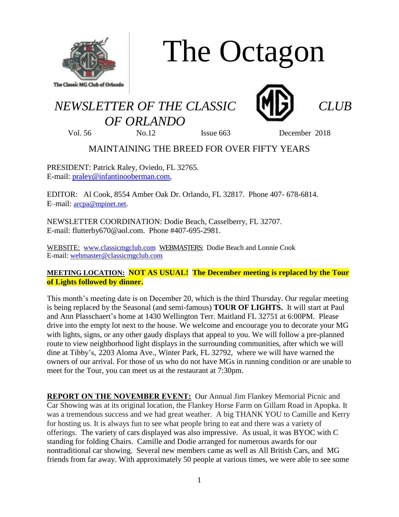

# The Octagon

## *NEWSLETTER OF THE CLASSIC CLUB OF ORLANDO*



Vol. 56 No.12 Issue 663 December 2018

### MAINTAINING THE BREED FOR OVER FIFTY YEARS

PRESIDENT: Patrick Raley, Oviedo, FL 32765. E-mail: [praley@infantinooberman.com,](mailto:praley@infantinooberman.com)

EDITOR: Al Cook, 8554 Amber Oak Dr. Orlando, FL 32817. Phone 407- 678-6814. E–mail: [arcpa@mpinet.net](mailto:arcpa@mpinet.net).

NEWSLETTER COORDINATION: Dodie Beach, Casselberry, FL 32707. E-mail: flutterby670@aol.com. Phone #407-695-2981.

WEBSITE: [www.classicmgclub.com](http://www.classicmgclub.com/) WEBMASTERS: Dodie Beach and Lonnie Cook E-mail[: webmaster@classicmgclub.com](mailto:webmaster@classicmgclub.com)

#### **MEETING LOCATION: NOT AS USUAL! The December meeting is replaced by the Tour of Lights followed by dinner.**

This month's meeting date is on December 20, which is the third Thursday. Our regular meeting is being replaced by the Seasonal (and semi-famous) **TOUR OF LIGHTS.** It will start at Paul and Ann Plasschaert's home at 1430 Wellington Terr. Maitland FL 32751 at 6:00PM. Please drive into the empty lot next to the house. We welcome and encourage you to decorate your MG with lights, signs, or any other gaudy displays that appeal to you. We will follow a pre-planned route to view neighborhood light displays in the surrounding communities, after which we will dine at Tibby's, 2203 Aloma Ave., Winter Park, FL 32792, where we will have warned the owners of our arrival. For those of us who do not have MGs in running condition or are unable to meet for the Tour, you can meet us at the restaurant at 7:30pm.

**REPORT ON THE NOVEMBER EVENT:** Our Annual Jim Flankey Memorial Picnic and Car Showing was at its original location, the Flankey Horse Farm on Gillam Road in Apopka. It was a tremendous success and we had great weather. A big THANK YOU to Camille and Kerry for hosting us. It is always fun to see what people bring to eat and there was a variety of offerings. The variety of cars displayed was also impressive. As usual, it was BYOC with C standing for folding Chairs. Camille and Dodie arranged for numerous awards for our nontraditional car showing. Several new members came as well as All British Cars, and MG friends from far away. With approximately 50 people at various times, we were able to see some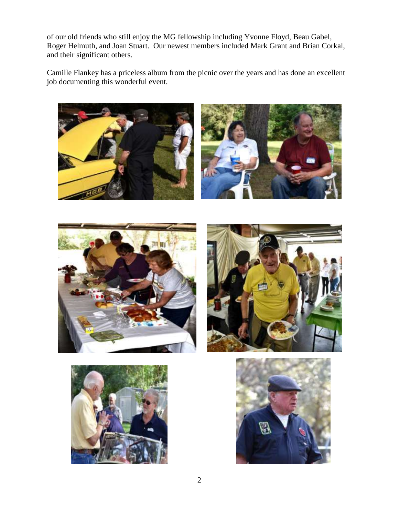of our old friends who still enjoy the MG fellowship including Yvonne Floyd, Beau Gabel, Roger Helmuth, and Joan Stuart. Our newest members included Mark Grant and Brian Corkal, and their significant others.

Camille Flankey has a priceless album from the picnic over the years and has done an excellent job documenting this wonderful event.











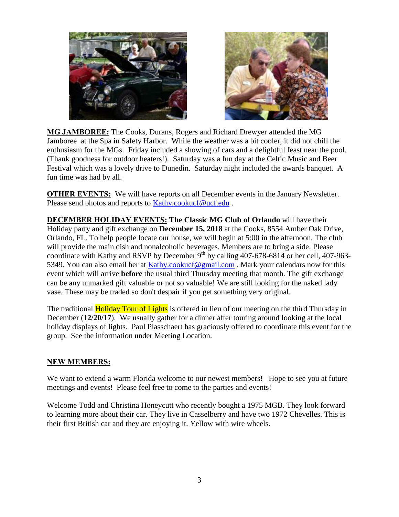



**MG JAMBOREE:** The Cooks, Durans, Rogers and Richard Drewyer attended the MG Jamboree at the Spa in Safety Harbor. While the weather was a bit cooler, it did not chill the enthusiasm for the MGs. Friday included a showing of cars and a delightful feast near the pool. (Thank goodness for outdoor heaters!). Saturday was a fun day at the Celtic Music and Beer Festival which was a lovely drive to Dunedin. Saturday night included the awards banquet. A fun time was had by all.

**OTHER EVENTS:** We will have reports on all December events in the January Newsletter. Please send photos and reports to [Kathy.cookucf@ucf.edu](mailto:Kathy.cookucf@ucf.edu).

**DECEMBER HOLIDAY EVENTS: The Classic MG Club of Orlando** will have their Holiday party and gift exchange on **December 15, 2018** at the Cooks, 8554 Amber Oak Drive, Orlando, FL. To help people locate our house, we will begin at 5:00 in the afternoon. The club will provide the main dish and nonalcoholic beverages. Members are to bring a side. Please coordinate with Kathy and RSVP by December  $9^{th}$  by calling 407-678-6814 or her cell, 407-963-5349. You can also email her at [Kathy.cookucf@gmail.com](mailto:Kathy.cookucf@gmail.com). Mark your calendars now for this event which will arrive **before** the usual third Thursday meeting that month. The gift exchange can be any unmarked gift valuable or not so valuable! We are still looking for the naked lady vase. These may be traded so don't despair if you get something very original.

The traditional **Holiday Tour of Lights** is offered in lieu of our meeting on the third Thursday in December (**12/20/17**). We usually gather for a dinner after touring around looking at the local holiday displays of lights. Paul Plasschaert has graciously offered to coordinate this event for the group. See the information under Meeting Location.

#### **NEW MEMBERS:**

We want to extend a warm Florida welcome to our newest members! Hope to see you at future meetings and events! Please feel free to come to the parties and events!

Welcome Todd and Christina Honeycutt who recently bought a 1975 MGB. They look forward to learning more about their car. They live in Casselberry and have two 1972 Chevelles. This is their first British car and they are enjoying it. Yellow with wire wheels.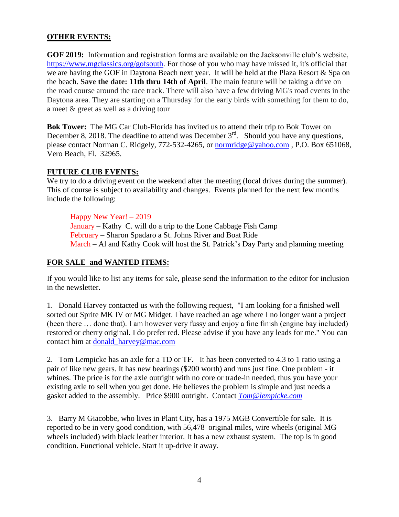#### **OTHER EVENTS:**

**GOF 2019:** Information and registration forms are available on the Jacksonville club's website, [https://www.mgclassics.org/gofsouth.](https://www.mgclassics.org/gofsouth) For those of you who may have missed it, it's official that we are having the GOF in Daytona Beach next year. It will be held at the Plaza Resort & Spa on the beach. **Save the date: 11th thru 14th of April**. The main feature will be taking a drive on the road course around the race track. There will also have a few driving MG's road events in the Daytona area. They are starting on a Thursday for the early birds with something for them to do, a meet & greet as well as a driving tour

**Bok Tower:** The MG Car Club-Florida has invited us to attend their trip to Bok Tower on December 8, 2018. The deadline to attend was December  $3<sup>rd</sup>$ . Should you have any questions, please contact Norman C. Ridgely, 772-532-4265, or [normridge@yahoo.com](mailto:normridge@yahoo.com) , P.O. Box 651068, Vero Beach, Fl. 32965.

#### **FUTURE CLUB EVENTS:**

We try to do a driving event on the weekend after the meeting (local drives during the summer). This of course is subject to availability and changes. Events planned for the next few months include the following:

#### Happy New Year! – 2019

January – Kathy C. will do a trip to the Lone Cabbage Fish Camp February – Sharon Spadaro a St. Johns River and Boat Ride March – Al and Kathy Cook will host the St. Patrick's Day Party and planning meeting

#### **FOR SALE and WANTED ITEMS:**

If you would like to list any items for sale, please send the information to the editor for inclusion in the newsletter.

1. Donald Harvey contacted us with the following request, "I am looking for a finished well sorted out Sprite MK IV or MG Midget. I have reached an age where I no longer want a project (been there … done that). I am however very fussy and enjoy a fine finish (engine bay included) restored or cherry original. I do prefer red. Please advise if you have any leads for me." You can contact him at [donald\\_harvey@mac.com](mailto:donald_harvey@mac.com)

2. Tom Lempicke has an axle for a TD or TF. It has been converted to 4.3 to 1 ratio using a pair of like new gears. It has new bearings (\$200 worth) and runs just fine. One problem - it whines. The price is for the axle outright with no core or trade-in needed, thus you have your existing axle to sell when you get done. He believes the problem is simple and just needs a gasket added to the assembly. Price \$900 outright. Contact *[Tom@lempicke.com](mailto:Tom@lempicke.com)*

3. Barry M Giacobbe, who lives in Plant City, has a 1975 MGB Convertible for sale. It is reported to be in very good condition, with 56,478 original miles, wire wheels (original MG wheels included) with black leather interior. It has a new exhaust system. The top is in good condition. Functional vehicle. Start it up-drive it away.